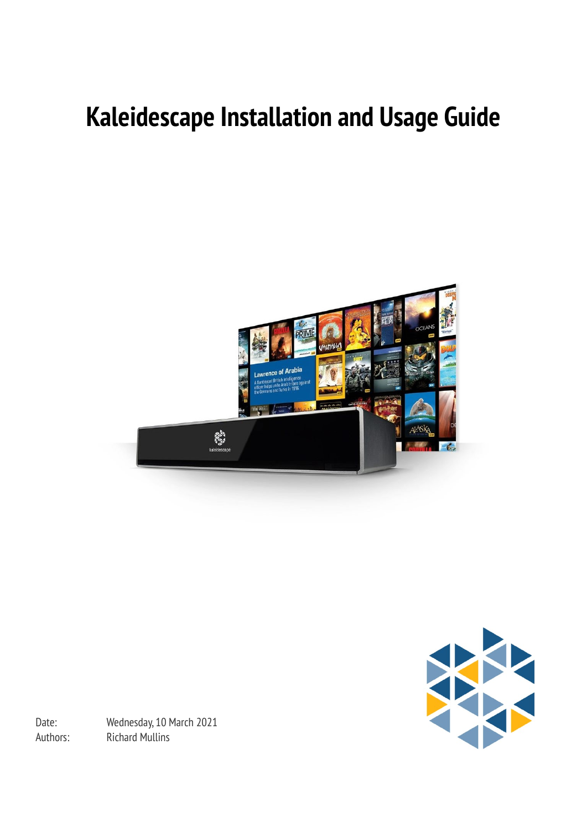# **Kaleidescape Installation and Usage Guide**





Date: Wednesday, 10 March 2021 Authors: Richard Mullins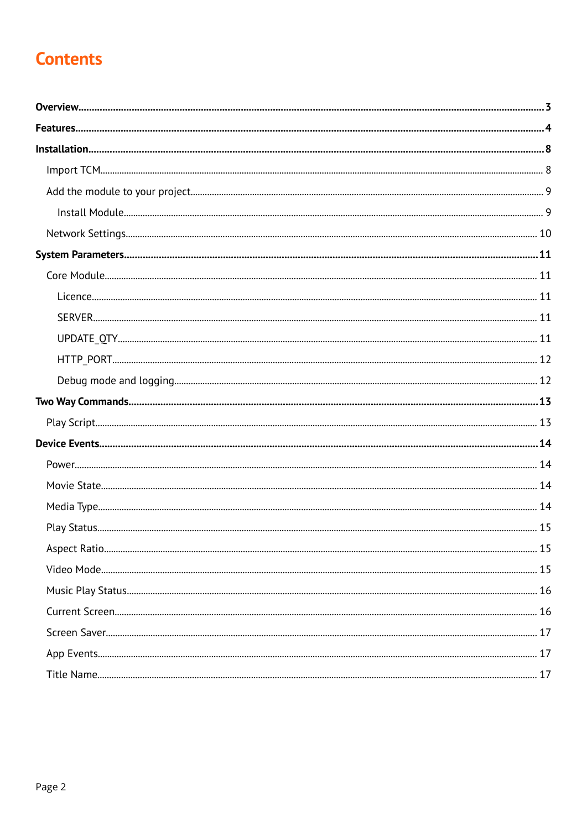# **Contents**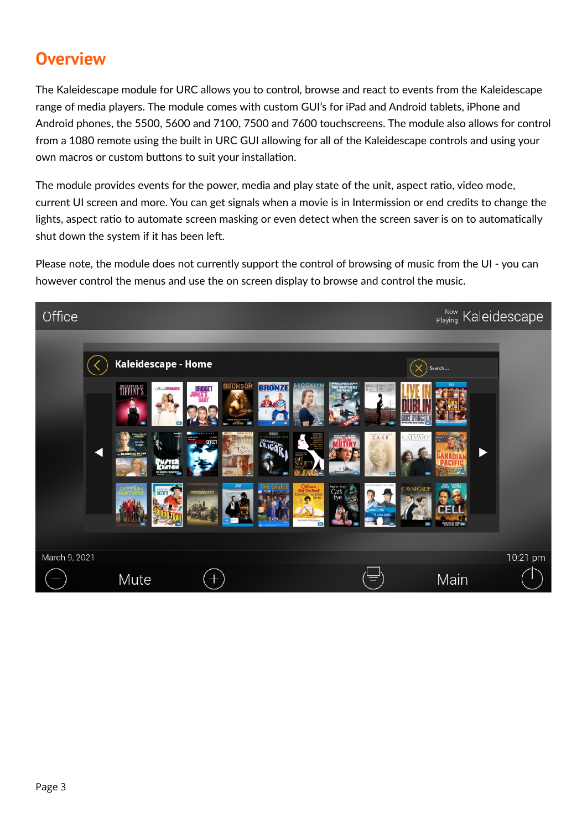# <span id="page-2-0"></span>**Overview**

The Kaleidescape module for URC allows you to control, browse and react to events from the Kaleidescape range of media players. The module comes with custom GUI's for iPad and Android tablets, iPhone and Android phones, the 5500, 5600 and 7100, 7500 and 7600 touchscreens. The module also allows for control from a 1080 remote using the built in URC GUI allowing for all of the Kaleidescape controls and using your own macros or custom buttons to suit your installation.

The module provides events for the power, media and play state of the unit, aspect ratio, video mode, current UI screen and more. You can get signals when a movie is in Intermission or end credits to change the lights, aspect ratio to automate screen masking or even detect when the screen saver is on to automatically shut down the system if it has been left.

Please note, the module does not currently support the control of browsing of music from the UI - you can however control the menus and use the on screen display to browse and control the music.

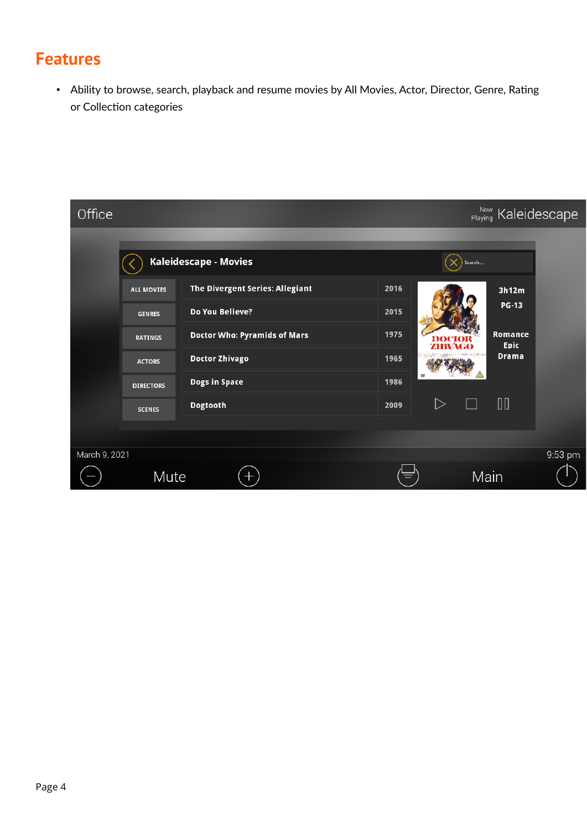# <span id="page-3-0"></span>**Features**

• Ability to browse, search, playback and resume movies by All Movies, Actor, Director, Genre, Rating or Collection categories

| Office        |                  |                                 |      |                  | <sup>Now</sup> Kaleidescape |         |
|---------------|------------------|---------------------------------|------|------------------|-----------------------------|---------|
|               |                  | Kaleidescape - Movies           |      | Search           |                             |         |
|               | ALL MOVIES       | The Divergent Series: Allegiant | 2016 |                  | 3h12m                       |         |
|               | <b>GENRES</b>    | Do You Believe?                 | 2015 |                  | <b>PG-13</b>                |         |
|               | <b>RATINGS</b>   | Doctor Who: Pyramids of Mars    | 1975 |                  | Romance<br>Epic             |         |
|               | <b>ACTORS</b>    | <b>Doctor Zhivago</b>           | 1965 |                  | <b>Drama</b>                |         |
|               | <b>DIRECTORS</b> | <b>Dogs in Space</b>            | 1986 |                  |                             |         |
|               | <b>SCENES</b>    | Dogtooth                        | 2009 | $\triangleright$ | $\Box$                      |         |
|               |                  |                                 |      |                  |                             |         |
| March 9, 2021 |                  |                                 |      |                  |                             | 9:53 pm |
|               | Mute             | $\pm$                           |      | Main             |                             |         |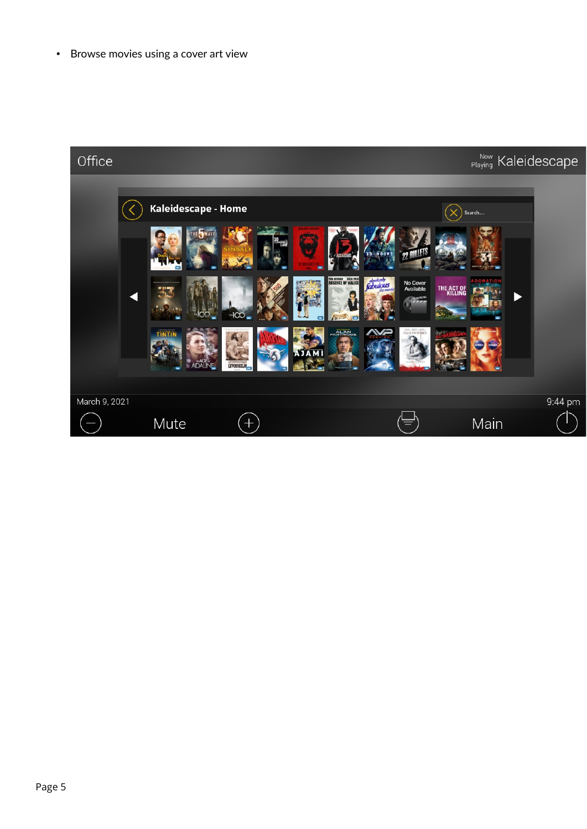• Browse movies using a cover art view

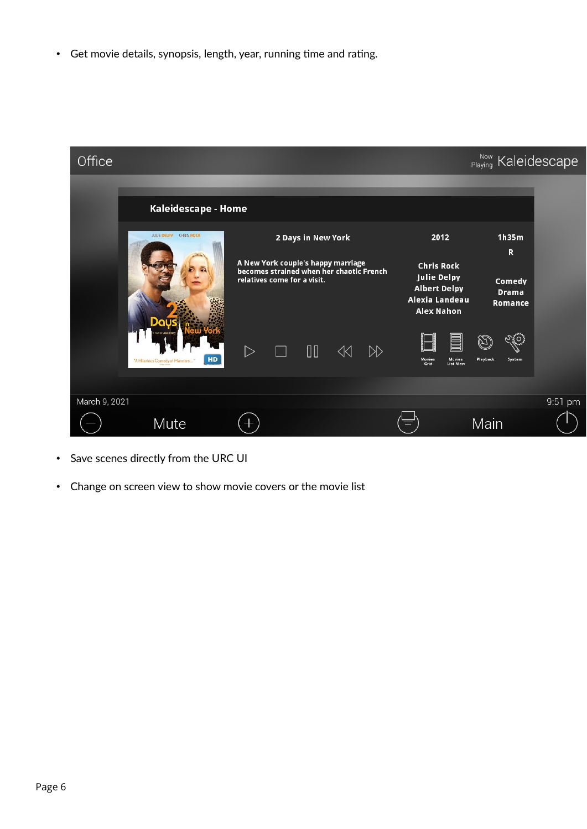• Get movie details, synopsis, length, year, running time and rating.



- Save scenes directly from the URC UI
- Change on screen view to show movie covers or the movie list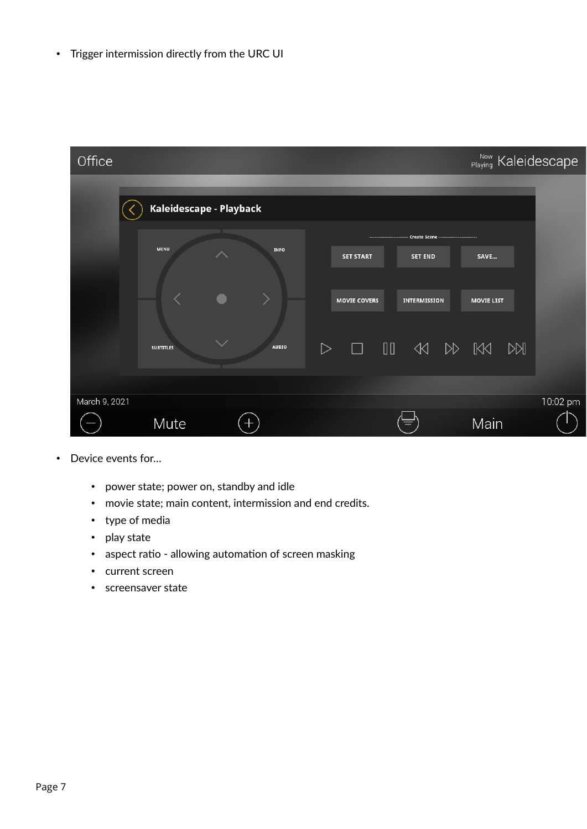• Trigger intermission directly from the URC UI

| Office        |                         |              |                     |                                                                                    | Now Kaleidescape  |          |
|---------------|-------------------------|--------------|---------------------|------------------------------------------------------------------------------------|-------------------|----------|
|               | Kaleidescape - Playback |              |                     |                                                                                    |                   |          |
|               | <b>MENU</b>             | <b>INFO</b>  | <b>SET START</b>    | ------------------------- Create Scene -------------------------<br><b>SET END</b> | SAVE              |          |
|               |                         |              | <b>MOVIE COVERS</b> | <b>INTERMISSION</b>                                                                | <b>MOVIE LIST</b> |          |
|               | <b>SUBTITLES</b>        | <b>AUDIO</b> | $\triangleright$    |                                                                                    |                   |          |
| March 9, 2021 |                         |              |                     |                                                                                    |                   | 10:02 pm |
|               | Mute                    | $\pm$        |                     |                                                                                    | Main              |          |

- Device events for…
	- power state; power on, standby and idle
	- movie state; main content, intermission and end credits.
	- type of media
	- play state
	- aspect ratio allowing automation of screen masking
	- current screen
	- screensaver state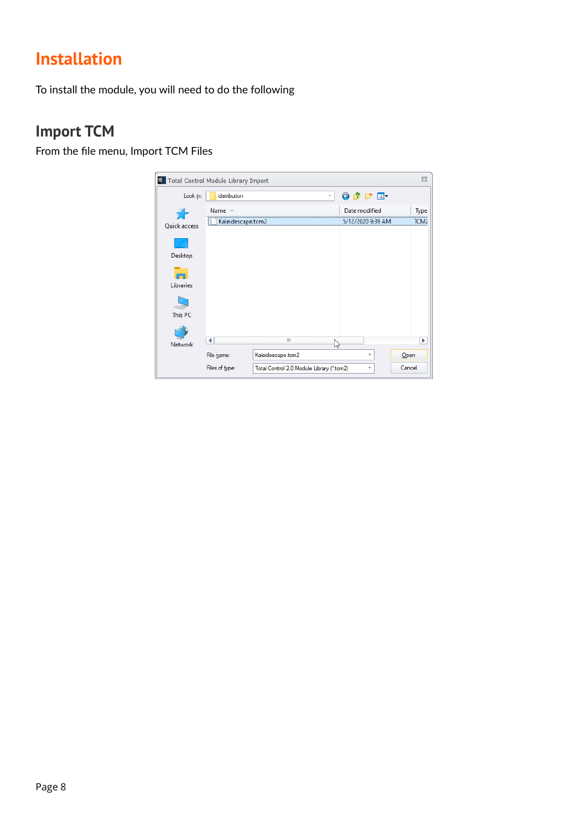# <span id="page-7-1"></span>**Installation**

To install the module, you will need to do the following

## <span id="page-7-0"></span>**Import TCM**

From the file menu, Import TCM Files

| <b>ES</b> Total Control Module Library Import |                   |                                           |   |                            | $\Sigma$ |
|-----------------------------------------------|-------------------|-------------------------------------------|---|----------------------------|----------|
| Look in:                                      | distribution      |                                           | v | $\odot$ $\oplus$ $\boxdot$ |          |
|                                               | Name $-$          |                                           |   | Date modified              | Type     |
| Quick access                                  | Kaleidescape.tcm2 |                                           |   | 5/12/2020 9:39 AM          | TCM2     |
|                                               |                   |                                           |   |                            |          |
| Desktop                                       |                   |                                           |   |                            |          |
|                                               |                   |                                           |   |                            |          |
| Libraries                                     |                   |                                           |   |                            |          |
|                                               |                   |                                           |   |                            |          |
| This PC                                       |                   |                                           |   |                            |          |
|                                               |                   |                                           |   |                            |          |
| Network                                       | ∢                 | $\mathbb{I}$                              | い |                            | Þ        |
|                                               | File name:        | Kaleidescape.tcm2                         |   | v                          | Open     |
|                                               | Files of type:    | Total Control 2.0 Module Library (*.tcm2) |   | v                          | Cancel   |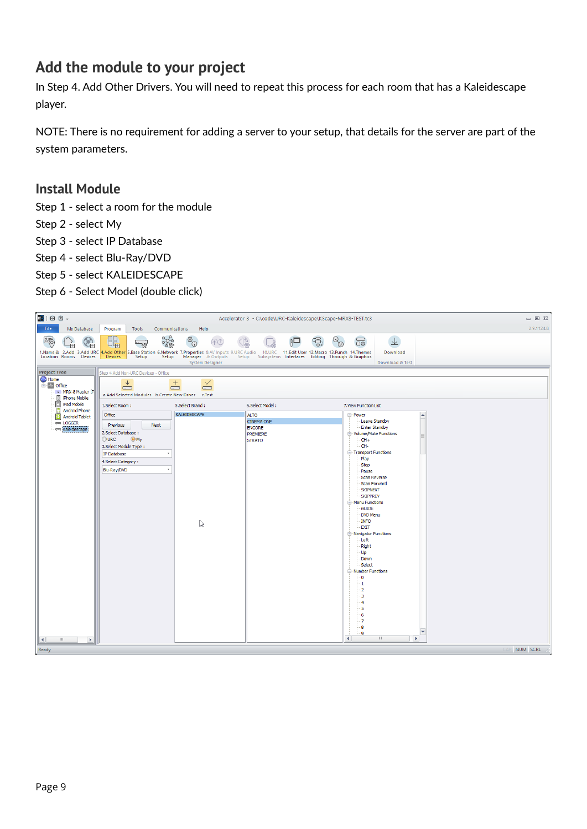# <span id="page-8-1"></span>**Add the module to your project**

In Step 4. Add Other Drivers. You will need to repeat this process for each room that has a Kaleidescape player.

NOTE: There is no requirement for adding a server to your setup, that details for the server are part of the system parameters.

### <span id="page-8-0"></span>**Install Module**

- Step 1 select a room for the module
- Step 2 select My
- Step 3 select IP Database
- Step 4 select Blu-Ray/DVD
- Step 5 select KALEIDESCAPE
- Step 6 Select Model (double click)

| 吗 凶 凶 一                                                                                    |                                                                                                                                                                                                                                                                                                                    | Accelerator 3 - C:\code\URC-Kaleidescape\KScape-MRX8-TEST.tc3                  |                                                                                                                                                                                                                                                                                                                                                                                                                                                                         | $\Box$ $\Box$ $\Box$ |
|--------------------------------------------------------------------------------------------|--------------------------------------------------------------------------------------------------------------------------------------------------------------------------------------------------------------------------------------------------------------------------------------------------------------------|--------------------------------------------------------------------------------|-------------------------------------------------------------------------------------------------------------------------------------------------------------------------------------------------------------------------------------------------------------------------------------------------------------------------------------------------------------------------------------------------------------------------------------------------------------------------|----------------------|
| File<br>My Database                                                                        | Program<br>Communications<br>Help<br>Tools                                                                                                                                                                                                                                                                         |                                                                                |                                                                                                                                                                                                                                                                                                                                                                                                                                                                         | 2.9.1124.8           |
| 십천                                                                                         | ಯ್ಣಿ<br>$\Box$<br>發口<br>$Q_{\mathbb{H}}$<br>-88<br>1.Name & 2.Add 3.Add URC <mark>4.Add Other</mark> 5.Base Station 6.Network 7.Properties 8.AV Inputs 9.URC Audio 10.URC 11.Edit User 12.Macro 13.Punch 14.Themes<br>Location Rooms Devices Devices Setup Setup Manager & Outputs Setup Subsys<br>System Designer |                                                                                | 业<br>5<br>Download<br>Download & Test                                                                                                                                                                                                                                                                                                                                                                                                                                   |                      |
| <b>Project Tree</b>                                                                        | Step 4 Add Non-URC Devices - Office                                                                                                                                                                                                                                                                                |                                                                                |                                                                                                                                                                                                                                                                                                                                                                                                                                                                         |                      |
| Home<br><b>E-</b> <sub>Im</sub> Office<br>8 MRX-8 Master F<br>iPhone Mobile<br>iPad Mobile | $\downarrow$<br>$\checkmark$<br>$^{+}$<br>$\Box$<br>$\Box$<br>$-3$<br>a.Add Selected Modules b.Create New Driver c.Test                                                                                                                                                                                            |                                                                                |                                                                                                                                                                                                                                                                                                                                                                                                                                                                         |                      |
| Android Phone                                                                              | 1.Select Room:<br>5.Select Brand:                                                                                                                                                                                                                                                                                  | 6.Select Model:                                                                | 7. View Function List                                                                                                                                                                                                                                                                                                                                                                                                                                                   |                      |
| Android Tablet<br><b>LOGGER</b><br>Kaleidescape                                            | KALEIDESCAPE<br>Office<br>Next<br>Previous<br>2. Select Database:<br>O My<br>OURC<br>3. Select Module Type:<br>IP Database<br>4. Select Category:<br>Blu-Ray/DVD<br>$\psi$<br>じ                                                                                                                                    | <b>ALTO</b><br><b>CINEMA ONE</b><br><b>ENCORE</b><br>PREMIERE<br><b>STRATO</b> | ⊟ Power<br>▲<br>Leave Standby<br><b>Enter Standby</b><br>D- Volume/Mute Functions<br>$CH+$<br>-CH-<br><b>E</b> -Transport Functions<br>Play<br>Stop<br>Pause<br>Scan Reverse<br>Scan Forward<br><b>SKIPNEXT</b><br><b>SKIPPREV</b><br>-Menu Functions<br><b>GUIDE</b><br>DVD Menu<br><b>INFO</b><br><b>EXIT</b><br><b>E</b> -Navigator Functions<br>Left<br><b>Right</b><br>Up<br>Down<br>Select<br><b>E</b> -Number Functions<br>٠O<br>- 1<br>2<br>-5<br>-6<br>-7<br>8 |                      |
| $\blacktriangleright$<br>III<br>$\blacktriangleleft$                                       |                                                                                                                                                                                                                                                                                                                    |                                                                                | $\overline{\mathbf{A}}$<br><b>III</b><br>$\blacktriangleright$                                                                                                                                                                                                                                                                                                                                                                                                          |                      |
| Ready                                                                                      |                                                                                                                                                                                                                                                                                                                    |                                                                                |                                                                                                                                                                                                                                                                                                                                                                                                                                                                         | NUM SCRL             |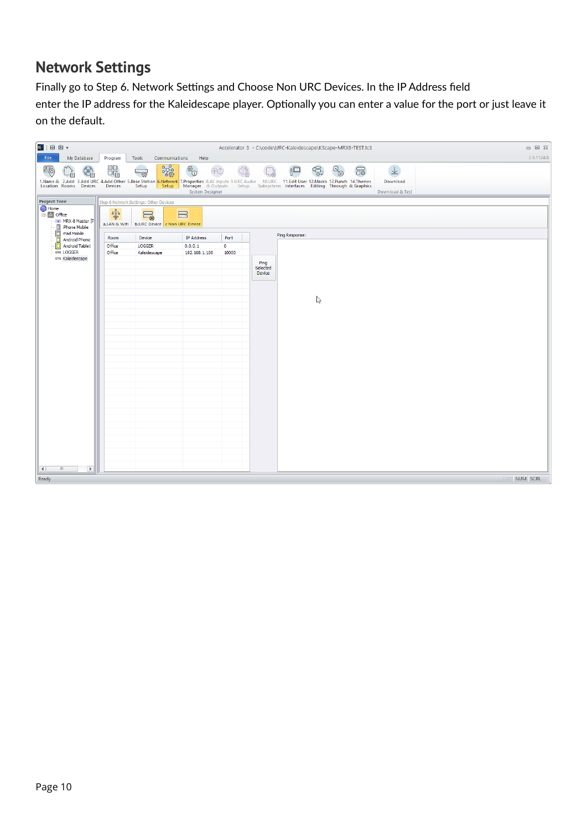## <span id="page-9-0"></span>**Network Settings**

Finally go to Step 6. Network Settings and Choose Non URC Devices. In the IP Address field enter the IP address for the Kaleidescape player. Optionally you can enter a value for the port or just leave it on the default.

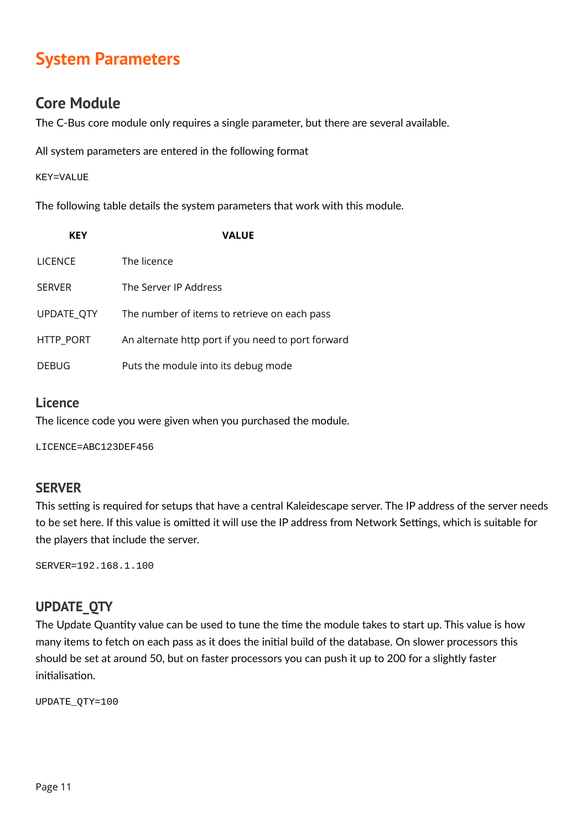# <span id="page-10-4"></span>**System Parameters**

### <span id="page-10-3"></span>**Core Module**

The C-Bus core module only requires a single parameter, but there are several available.

All system parameters are entered in the following format

#### KEY=VALUE

The following table details the system parameters that work with this module.

| <b>KEY</b>     | <b>VALUE</b>                                       |
|----------------|----------------------------------------------------|
| <b>LICENCE</b> | The licence                                        |
| <b>SERVER</b>  | The Server IP Address                              |
| UPDATE_QTY     | The number of items to retrieve on each pass       |
| HTTP_PORT      | An alternate http port if you need to port forward |
| <b>DEBUG</b>   | Puts the module into its debug mode                |

### <span id="page-10-2"></span>**Licence**

The licence code you were given when you purchased the module.

LICENCE=ABC123DEF456

### <span id="page-10-1"></span>**SERVER**

This setting is required for setups that have a central Kaleidescape server. The IP address of the server needs to be set here. If this value is omitted it will use the IP address from Network Settings, which is suitable for the players that include the server.

SERVER=192.168.1.100

### <span id="page-10-0"></span>**UPDATE\_QTY**

The Update Quantity value can be used to tune the time the module takes to start up. This value is how many items to fetch on each pass as it does the initial build of the database. On slower processors this should be set at around 50, but on faster processors you can push it up to 200 for a slightly faster initialisation.

UPDATE\_QTY=100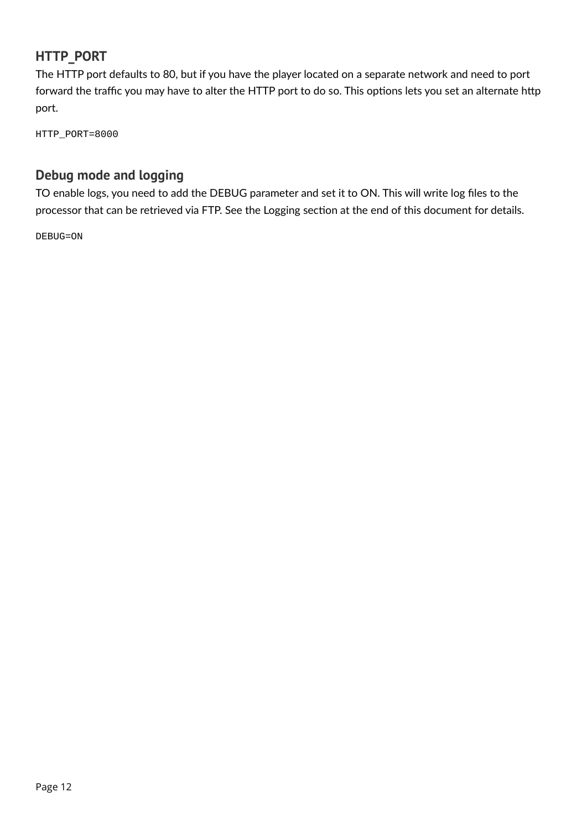### <span id="page-11-1"></span>**HTTP\_PORT**

The HTTP port defaults to 80, but if you have the player located on a separate network and need to port forward the traffic you may have to alter the HTTP port to do so. This options lets you set an alternate http port.

HTTP\_PORT=8000

### <span id="page-11-0"></span>**Debug mode and logging**

TO enable logs, you need to add the DEBUG parameter and set it to ON. This will write log files to the processor that can be retrieved via FTP. See the Logging section at the end of this document for details.

DEBUG=ON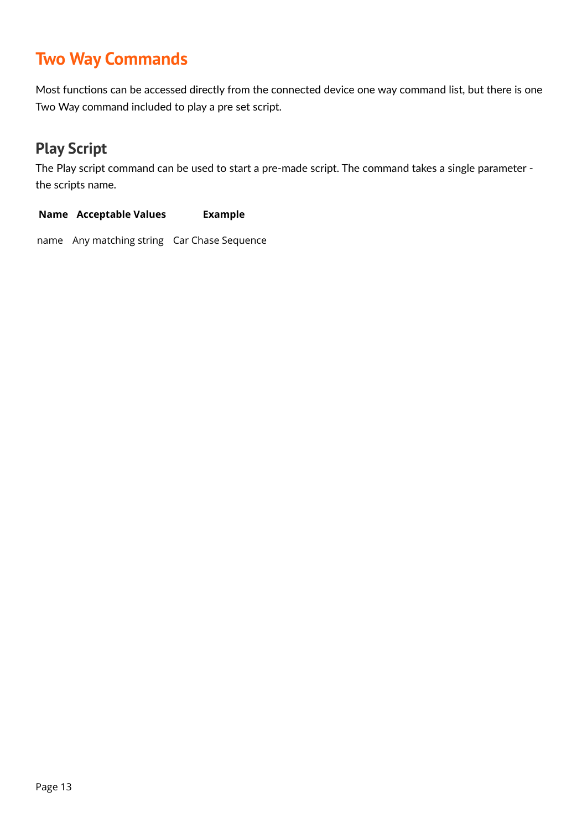# <span id="page-12-1"></span>**Two Way Commands**

Most functions can be accessed directly from the connected device one way command list, but there is one Two Way command included to play a pre set script.

## <span id="page-12-0"></span>**Play Script**

The Play script command can be used to start a pre-made script. The command takes a single parameter the scripts name.

# **Name Acceptable Values Example**

name Any matching string Car Chase Sequence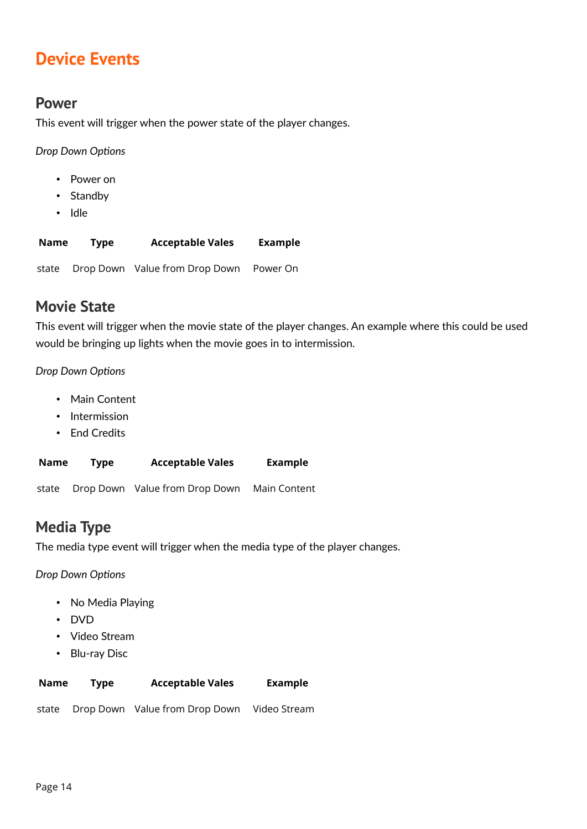# <span id="page-13-3"></span>**Device Events**

### <span id="page-13-2"></span>**Power**

This event will trigger when the power state of the player changes.

*Drop Down Options*

- Power on
- Standby
- Idle

| Name  | <b>Type</b> | <b>Acceptable Vales</b>        | Example  |
|-------|-------------|--------------------------------|----------|
| state |             | Drop Down Value from Drop Down | Power On |

## <span id="page-13-1"></span>**Movie State**

This event will trigger when the movie state of the player changes. An example where this could be used would be bringing up lights when the movie goes in to intermission.

### *Drop Down Options*

- Main Content
- Intermission
- End Credits

| Name  | <b>Type</b> | <b>Acceptable Vales</b>        | Example      |
|-------|-------------|--------------------------------|--------------|
| state |             | Drop Down Value from Drop Down | Main Content |

# <span id="page-13-0"></span>**Media Type**

The media type event will trigger when the media type of the player changes.

*Drop Down Options*

- No Media Playing
- DVD
- Video Stream
- Blu-ray Disc

| Name | <b>Type</b> | <b>Acceptable Vales</b> | Example |
|------|-------------|-------------------------|---------|
|------|-------------|-------------------------|---------|

state Drop Down Value from Drop Down Video Stream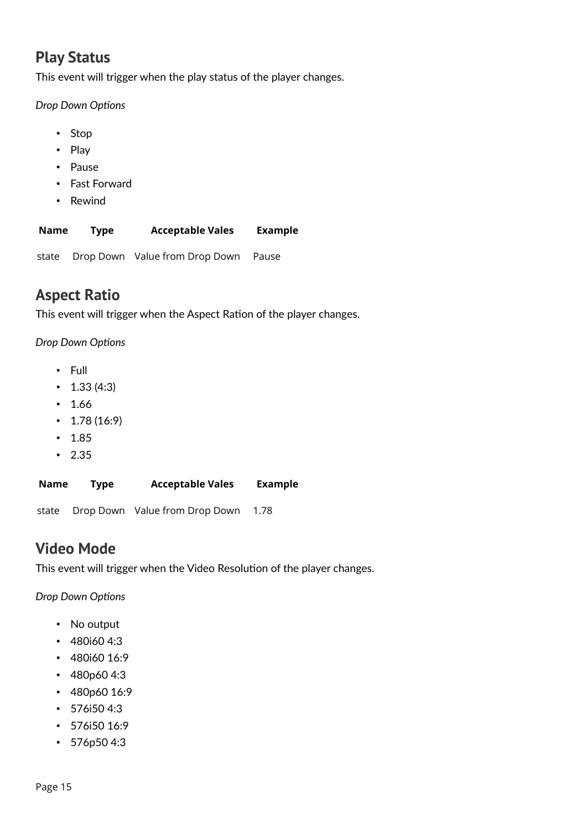## <span id="page-14-2"></span>**Play Status**

This event will trigger when the play status of the player changes.

*Drop Down Options*

- Stop
- Play
- Pause
- Fast Forward
- Rewind

| <b>Name</b> | Type | <b>Acceptable Vales</b> | <b>Example</b> |
|-------------|------|-------------------------|----------------|
|-------------|------|-------------------------|----------------|

state Drop Down Value from Drop Down Pause

## <span id="page-14-1"></span>**Aspect Ratio**

This event will trigger when the Aspect Ration of the player changes.

*Drop Down Options*

- Full
- $\cdot$  1.33 (4:3)
- 1.66
- $1.78(16:9)$
- 1.85
- 2.35

| Name | <b>Type</b> | <b>Acceptable Vales</b>              | <b>Example</b> |
|------|-------------|--------------------------------------|----------------|
|      |             | state Drop Down Value from Drop Down | 1.78           |

### <span id="page-14-0"></span>**Video Mode**

This event will trigger when the Video Resolution of the player changes.

*Drop Down Options*

- No output
- 480i60 4:3
- 480i60 16:9
- 480p60 4:3
- 480p60 16:9
- 576i50 4:3
- 576i50 16:9
- 576p50 4:3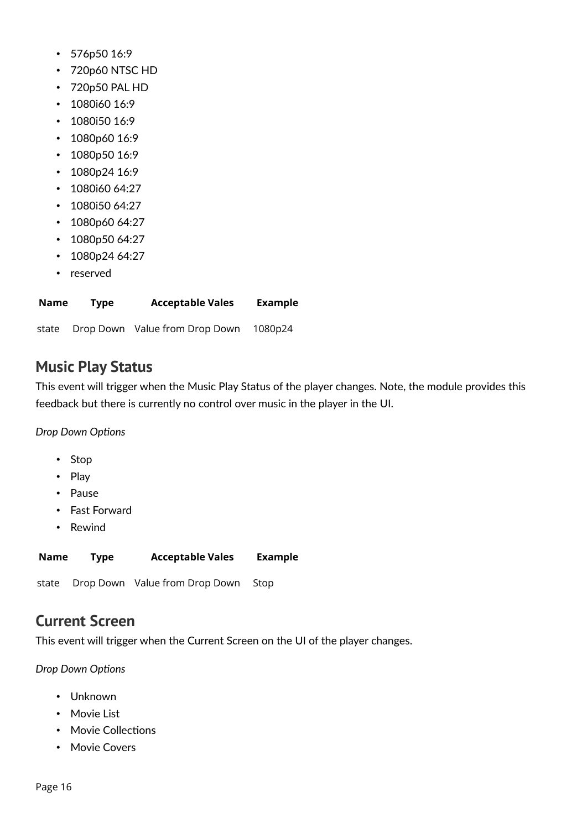- 576p50 16:9
- 720p60 NTSC HD
- 720p50 PAL HD
- 1080i60 16:9
- 1080i50 16:9
- 1080p60 16:9
- 1080p50 16:9
- 1080p24 16:9
- 1080i60 64:27
- 1080i50 64:27
- 1080p60 64:27
- 1080p50 64:27
- 1080p24 64:27
- reserved

| Name | Type | <b>Acceptable Vales</b> | <b>Example</b> |
|------|------|-------------------------|----------------|
|      |      |                         |                |

state Drop Down Value from Drop Down 1080p24

### <span id="page-15-1"></span>**Music Play Status**

This event will trigger when the Music Play Status of the player changes. Note, the module provides this feedback but there is currently no control over music in the player in the UI.

*Drop Down Options*

- Stop
- Play
- Pause
- Fast Forward
- Rewind

| Name | Type | <b>Acceptable Vales</b>              | Example |
|------|------|--------------------------------------|---------|
|      |      | state Drop Down Value from Drop Down | Stop    |

### <span id="page-15-0"></span>**Current Screen**

This event will trigger when the Current Screen on the UI of the player changes.

*Drop Down Options*

- Unknown
- Movie List
- Movie Collections
- Movie Covers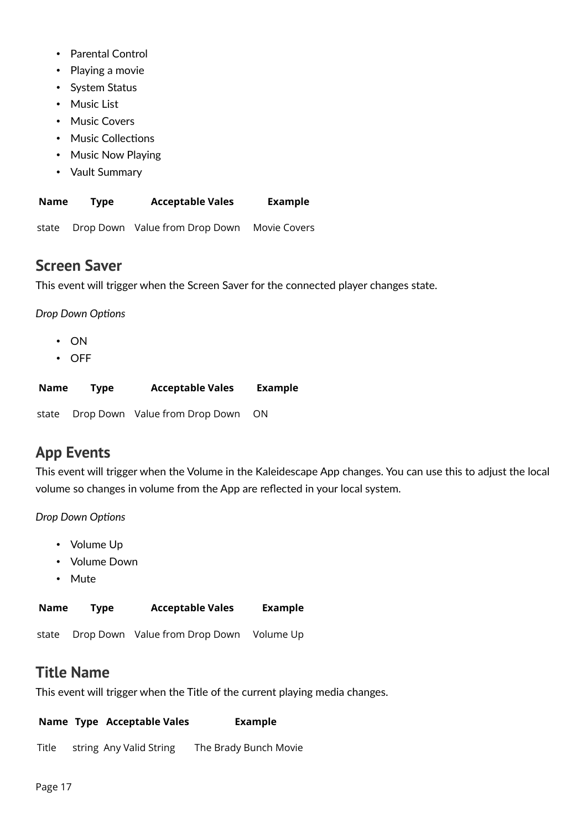- Parental Control
- Playing a movie
- System Status
- Music List
- Music Covers
- Music Collections
- Music Now Playing
- Vault Summary

| <b>Name</b> | Type | <b>Acceptable Vales</b> | <b>Example</b> |
|-------------|------|-------------------------|----------------|
|             |      |                         |                |

state Drop Down Value from Drop Down Movie Covers

### <span id="page-16-2"></span>**Screen Saver**

This event will trigger when the Screen Saver for the connected player changes state.

*Drop Down Options*

- ON
- OFF

| Name | Tvpe | <b>Acceptable Vales</b>              | <b>Example</b> |
|------|------|--------------------------------------|----------------|
|      |      | state Drop Down Value from Drop Down | .ON            |

## <span id="page-16-1"></span>**App Events**

This event will trigger when the Volume in the Kaleidescape App changes. You can use this to adjust the local volume so changes in volume from the App are reflected in your local system.

### *Drop Down Options*

- Volume Up
- Volume Down
- Mute

| Name | <b>Type</b> | <b>Acceptable Vales</b> | <b>Example</b> |
|------|-------------|-------------------------|----------------|
|      |             |                         |                |

state Drop Down Value from Drop Down Volume Up

### <span id="page-16-0"></span>**Title Name**

This event will trigger when the Title of the current playing media changes.

#### **Name Type Acceptable Vales Example**

Title string Any Valid String The Brady Bunch Movie